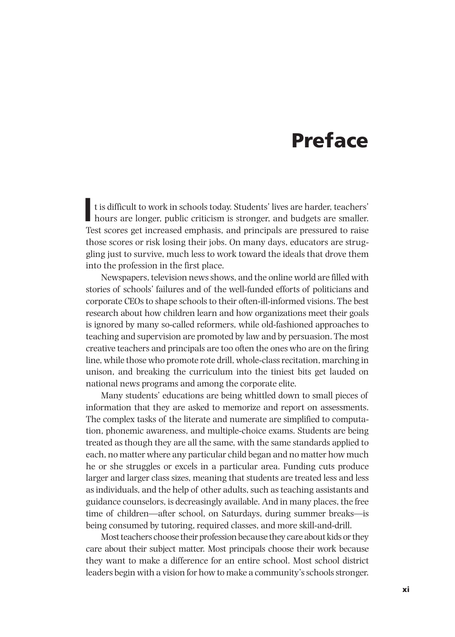# Preface

In this difficult to work in schools today. Students' lives are harder, teachers' hours are longer, public criticism is stronger, and budgets are smaller. t is difficult to work in schools today. Students' lives are harder, teachers' Test scores get increased emphasis, and principals are pressured to raise those scores or risk losing their jobs. On many days, educators are struggling just to survive, much less to work toward the ideals that drove them into the profession in the first place.

Newspapers, television news shows, and the online world are filled with stories of schools' failures and of the well-funded efforts of politicians and corporate CEOs to shape schools to their often-ill-informed visions. The best research about how children learn and how organizations meet their goals is ignored by many so-called reformers, while old-fashioned approaches to teaching and supervision are promoted by law and by persuasion. The most creative teachers and principals are too often the ones who are on the firing line, while those who promote rote drill, whole-class recitation, marching in unison, and breaking the curriculum into the tiniest bits get lauded on national news programs and among the corporate elite.

Many students' educations are being whittled down to small pieces of information that they are asked to memorize and report on assessments. The complex tasks of the literate and numerate are simplified to computation, phonemic awareness, and multiple-choice exams. Students are being treated as though they are all the same, with the same standards applied to each, no matter where any particular child began and no matter how much he or she struggles or excels in a particular area. Funding cuts produce larger and larger class sizes, meaning that students are treated less and less as individuals, and the help of other adults, such as teaching assistants and guidance counselors, is decreasingly available. And in many places, the free time of children—after school, on Saturdays, during summer breaks—is being consumed by tutoring, required classes, and more skill-and-drill.

Most teachers choose their profession because they care about kids or they care about their subject matter. Most principals choose their work because they want to make a difference for an entire school. Most school district leaders begin with a vision for how to make a community's schools stronger.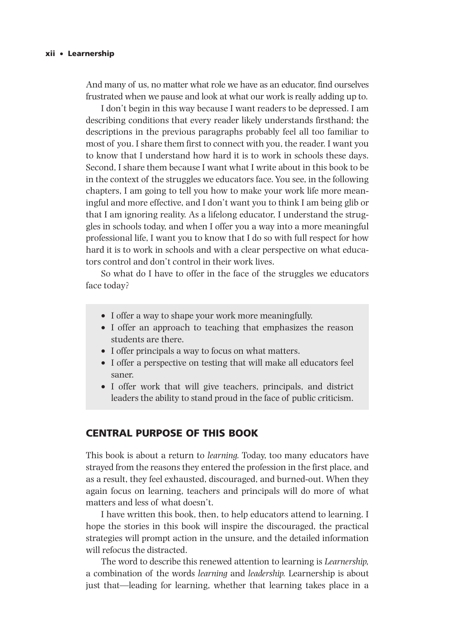And many of us, no matter what role we have as an educator, find ourselves frustrated when we pause and look at what our work is really adding up to.

I don't begin in this way because I want readers to be depressed. I am describing conditions that every reader likely understands firsthand; the descriptions in the previous paragraphs probably feel all too familiar to most of you. I share them first to connect with you, the reader. I want you to know that I understand how hard it is to work in schools these days. Second, I share them because I want what I write about in this book to be in the context of the struggles we educators face. You see, in the following chapters, I am going to tell you how to make your work life more meaningful and more effective, and I don't want you to think I am being glib or that I am ignoring reality. As a lifelong educator, I understand the struggles in schools today, and when I offer you a way into a more meaningful professional life, I want you to know that I do so with full respect for how hard it is to work in schools and with a clear perspective on what educators control and don't control in their work lives.

So what do I have to offer in the face of the struggles we educators face today?

- I offer a way to shape your work more meaningfully.
- I offer an approach to teaching that emphasizes the reason students are there.
- I offer principals a way to focus on what matters.
- I offer a perspective on testing that will make all educators feel saner.
- I offer work that will give teachers, principals, and district leaders the ability to stand proud in the face of public criticism.

#### CENTRAL PURPOSE OF THIS BOOK

This book is about a return to *learning.* Today, too many educators have strayed from the reasons they entered the profession in the first place, and as a result, they feel exhausted, discouraged, and burned-out. When they again focus on learning, teachers and principals will do more of what matters and less of what doesn't.

I have written this book, then, to help educators attend to learning. I hope the stories in this book will inspire the discouraged, the practical strategies will prompt action in the unsure, and the detailed information will refocus the distracted.

The word to describe this renewed attention to learning is *Learnership,* a combination of the words *learning* and *leadership.* Learnership is about just that—leading for learning, whether that learning takes place in a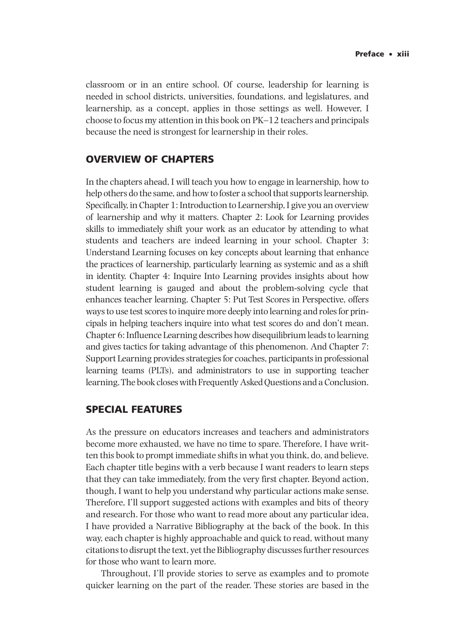classroom or in an entire school. Of course, leadership for learning is needed in school districts, universities, foundations, and legislatures, and learnership, as a concept, applies in those settings as well. However, I choose to focus my attention in this book on PK–12 teachers and principals because the need is strongest for learnership in their roles.

## OVERVIEW OF CHAPTERS

In the chapters ahead, I will teach you how to engage in learnership, how to help others do the same, and how to foster a school that supports learnership. Specifically, in Chapter 1: Introduction to Learnership, I give you an overview of learnership and why it matters. Chapter 2: Look for Learning provides skills to immediately shift your work as an educator by attending to what students and teachers are indeed learning in your school. Chapter 3: Understand Learning focuses on key concepts about learning that enhance the practices of learnership, particularly learning as systemic and as a shift in identity. Chapter 4: Inquire Into Learning provides insights about how student learning is gauged and about the problem-solving cycle that enhances teacher learning. Chapter 5: Put Test Scores in Perspective, offers ways to use test scores to inquire more deeply into learning and roles for principals in helping teachers inquire into what test scores do and don't mean. Chapter 6: Influence Learning describes how disequilibrium leads to learning and gives tactics for taking advantage of this phenomenon. And Chapter 7: Support Learning provides strategies for coaches, participants in professional learning teams (PLTs), and administrators to use in supporting teacher learning. The book closes with Frequently Asked Questions and a Conclusion.

#### SPECIAL FEATURES

As the pressure on educators increases and teachers and administrators become more exhausted, we have no time to spare. Therefore, I have written this book to prompt immediate shifts in what you think, do, and believe. Each chapter title begins with a verb because I want readers to learn steps that they can take immediately, from the very first chapter. Beyond action, though, I want to help you understand why particular actions make sense. Therefore, I'll support suggested actions with examples and bits of theory and research. For those who want to read more about any particular idea, I have provided a Narrative Bibliography at the back of the book. In this way, each chapter is highly approachable and quick to read, without many citations to disrupt the text, yet the Bibliography discusses further resources for those who want to learn more.

Throughout, I'll provide stories to serve as examples and to promote quicker learning on the part of the reader. These stories are based in the